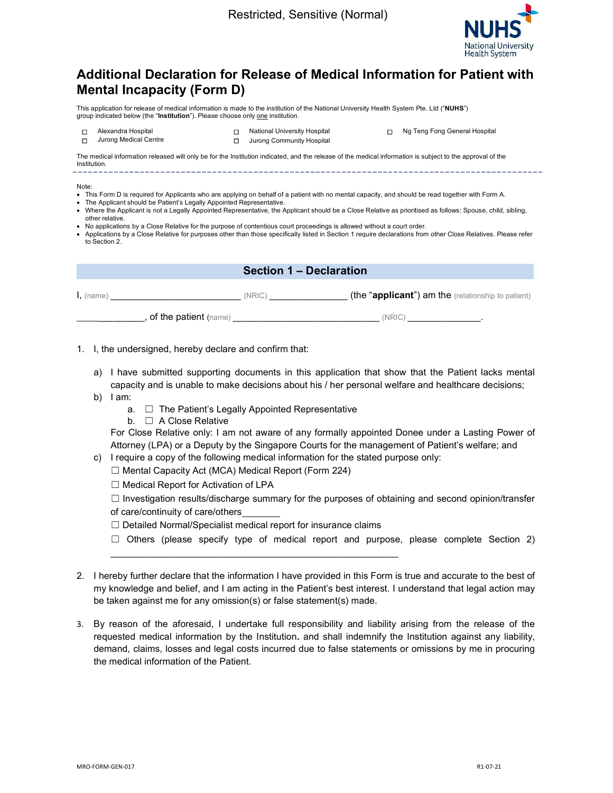

# Additional Declaration for Release of Medical Information for Patient with Mental Incapacity (Form D)

This application for release of medical information is made to the institution of the National University Health System Pte. Ltd ("NUHS") group indicated below (the "Institution"). Please choose only one institution.



☐ Alexandra Hospital ☐ National University Hospital ☐ Ng Teng Fong General Hospital **□** Jurong Community Hospital

The medical information released will only be for the Institution indicated, and the release of the medical information is subject to the approval of the Institution.

#### Note:

- This Form D is required for Applicants who are applying on behalf of a patient with no mental capacity, and should be read together with Form A.
- The Applicant should be Patient's Legally Appointed Representative.
- Where the Applicant is not a Legally Appointed Representative, the Applicant should be a Close Relative as prioritised as follows: Spouse, child, sibling, other relative.
- No applications by a Close Relative for the purpose of contentious court proceedings is allowed without a court order.
- Applications by a Close Relative for purposes other than those specifically listed in Section 1 require declarations from other Close Relatives. Please refer to Section 2.

| <b>Section 1 – Declaration</b> |  |  |
|--------------------------------|--|--|
|--------------------------------|--|--|

 $I,$  (name)  $I,$  (name)  $I$  (NRIC)  $I$  (the "applicant") am the (relationship to patient) . of the patient (name) and the set of the patient (name) and the set of the set of the patient  $(NRIC)$ 

1. I, the undersigned, hereby declare and confirm that:

- a) I have submitted supporting documents in this application that show that the Patient lacks mental capacity and is unable to make decisions about his / her personal welfare and healthcare decisions;
- b)  $l$  am:
	- a. □ The Patient's Legally Appointed Representative
	- b. ☐ A Close Relative

For Close Relative only: I am not aware of any formally appointed Donee under a Lasting Power of Attorney (LPA) or a Deputy by the Singapore Courts for the management of Patient's welfare; and

- c) I require a copy of the following medical information for the stated purpose only:
	- ☐ Mental Capacity Act (MCA) Medical Report (Form 224)

☐ Medical Report for Activation of LPA

 $\Box$  Investigation results/discharge summary for the purposes of obtaining and second opinion/transfer of care/continuity of care/others

☐ Detailed Normal/Specialist medical report for insurance claims

\_\_\_\_\_\_\_\_\_\_\_\_\_\_\_\_\_\_\_\_\_\_\_\_\_\_\_\_\_\_\_\_\_\_\_\_\_\_\_\_\_\_\_\_\_\_\_\_\_\_\_\_\_\_\_

- $\Box$  Others (please specify type of medical report and purpose, please complete Section 2)
- 2. I hereby further declare that the information I have provided in this Form is true and accurate to the best of my knowledge and belief, and I am acting in the Patient's best interest. I understand that legal action may be taken against me for any omission(s) or false statement(s) made.
- 3. By reason of the aforesaid, I undertake full responsibility and liability arising from the release of the requested medical information by the Institution. and shall indemnify the Institution against any liability, demand, claims, losses and legal costs incurred due to false statements or omissions by me in procuring the medical information of the Patient.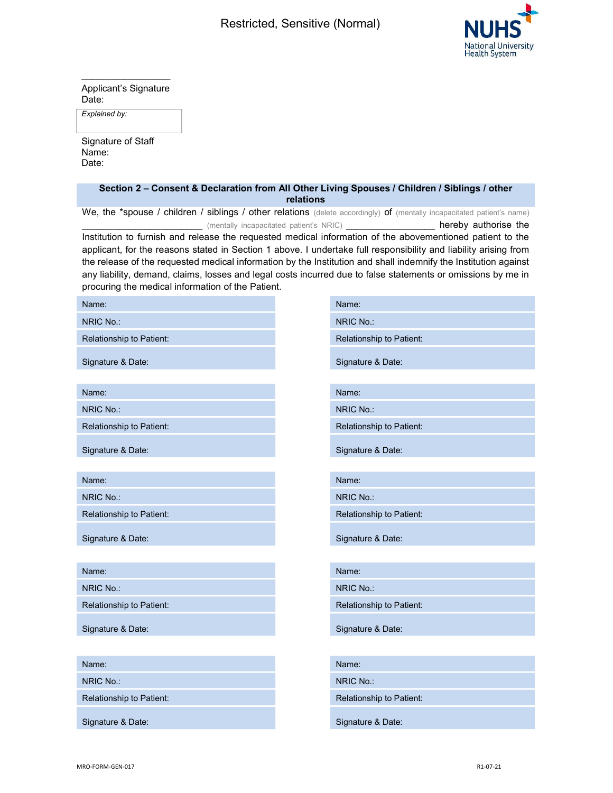

 $\overline{\phantom{a}}$  , and the set of the set of the set of the set of the set of the set of the set of the set of the set of the set of the set of the set of the set of the set of the set of the set of the set of the set of the s Applicant's Signature Date:

Explained by:

Signature of Staff Name: Date:

## Section 2 – Consent & Declaration from All Other Living Spouses / Children / Siblings / other relations

We, the \*spouse / children / siblings / other relations (delete accordingly) of (mentally incapacitated patient's name) \_ (mentally incapacitated patient's NRIC) \_\_\_\_\_\_\_\_\_\_\_\_\_\_\_\_\_\_\_\_\_\_\_ hereby authorise the

Institution to furnish and release the requested medical information of the abovementioned patient to the applicant, for the reasons stated in Section 1 above. I undertake full responsibility and liability arising from the release of the requested medical information by the Institution and shall indemnify the Institution against any liability, demand, claims, losses and legal costs incurred due to false statements or omissions by me in procuring the medical information of the Patient.

| Name:                    | Name:                    |
|--------------------------|--------------------------|
| NRIC No.:                | NRIC No.:                |
| Relationship to Patient: | Relationship to Patient: |
| Signature & Date:        | Signature & Date:        |
| Name:                    | Name:                    |
| NRIC No.:                | NRIC No.:                |
| Relationship to Patient: | Relationship to Patient: |
| Signature & Date:        | Signature & Date:        |
| Name:                    | Name:                    |
| NRIC No.:                | NRIC No.:                |
| Relationship to Patient: | Relationship to Patient: |
| Signature & Date:        | Signature & Date:        |
|                          |                          |
| Name:                    | Name:                    |
| NRIC No.:                | NRIC No.:                |
| Relationship to Patient: | Relationship to Patient: |
| Signature & Date:        | Signature & Date:        |
|                          |                          |
| Name:                    | Name:                    |
| NRIC No.:                | NRIC No.:                |
| Relationship to Patient: | Relationship to Patient: |
| Signature & Date:        | Signature & Date:        |